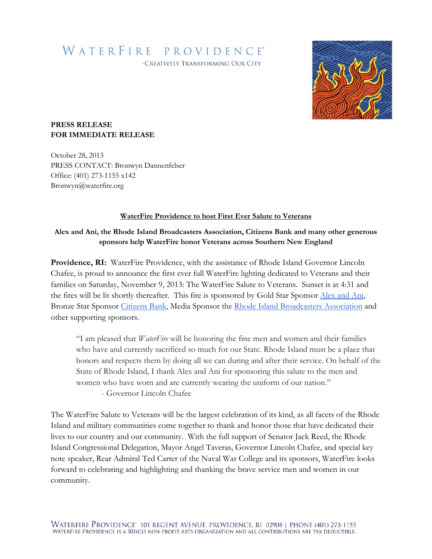WATERFIRE PROVIDENCE®

-CREATIVELY TRANSFORMING OUR CITY



## **PRESS RELEASE FOR IMMEDIATE RELEASE**

October 28, 2013 PRESS CONTACT: Bronwyn Dannenfelser Office: (401) 273-1155 x142 Bronwyn@waterfire.org

## **WaterFire Providence to host First Ever Salute to Veterans**

## **Alex and Ani, the Rhode Island Broadcasters Association, Citizens Bank and many other generous sponsors help WaterFire honor Veterans across Southern New England**

**Providence, RI:** WaterFire Providence, with the assistance of Rhode Island Governor Lincoln Chafee, is proud to announce the first ever full WaterFire lighting dedicated to Veterans and their families on Saturday, November 9, 2013: The WaterFire Salute to Veterans. Sunset is at 4:31 and the fires will be lit shortly thereafter. This fire is sponsored by Gold Star Sponsor [Alex and Ani,](http://www.alexandani.com/) Bronze Star Sponsor [Citizens Bank,](http://www.citizensbank.com/) Media Sponsor the [Rhode Island Broadcasters Association](http://www.ribroadcasters.com/) and other supporting sponsors.

"I am pleased that *WaterFire* will be honoring the fine men and women and their families who have and currently sacrificed so much for our State. Rhode Island must be a place that honors and respects them by doing all we can during and after their service. On behalf of the State of Rhode Island, I thank Alex and Ani for sponsoring this salute to the men and women who have worn and are currently wearing the uniform of our nation."

- Governor Lincoln Chafee

The WaterFire Salute to Veterans will be the largest celebration of its kind, as all facets of the Rhode Island and military communities come together to thank and honor those that have dedicated their lives to our country and our community. With the full support of Senator Jack Reed, the Rhode Island Congressional Delegation, Mayor Angel Taveras, Governor Lincoln Chafee, and special key note speaker, Rear Admiral Ted Carter of the Naval War College and its sponsors, WaterFire looks forward to celebrating and highlighting and thanking the brave service men and women in our community.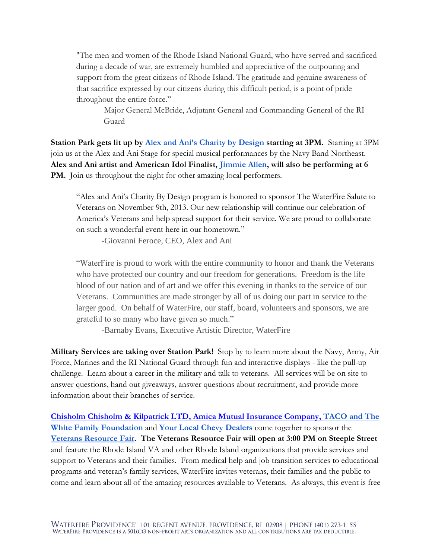"The men and women of the Rhode Island National Guard, who have served and sacrificed during a decade of war, are extremely humbled and appreciative of the outpouring and support from the great citizens of Rhode Island. The gratitude and genuine awareness of that sacrifice expressed by our citizens during this difficult period, is a point of pride throughout the entire force."

-Major General McBride, Adjutant General and Commanding General of the RI Guard

**Station Park gets lit up by [Alex and Ani's Charity by Design](http://www.alexandani.com/) starting at 3PM.** Starting at 3PM join us at the Alex and Ani Stage for special musical performances by the Navy Band Northeast. **Alex and Ani artist and American Idol Finalist, [Jimmie Allen,](http://www.alexandani.com/blog/tag/jimmie-allen/) will also be performing at 6**  PM. Join us throughout the night for other amazing local performers.

"Alex and Ani's Charity By Design program is honored to sponsor The WaterFire Salute to Veterans on November 9th, 2013. Our new relationship will continue our celebration of America's Veterans and help spread support for their service. We are proud to collaborate on such a wonderful event here in our hometown."

-Giovanni Feroce, CEO, Alex and Ani

"WaterFire is proud to work with the entire community to honor and thank the Veterans who have protected our country and our freedom for generations. Freedom is the life blood of our nation and of art and we offer this evening in thanks to the service of our Veterans. Communities are made stronger by all of us doing our part in service to the larger good. On behalf of WaterFire, our staff, board, volunteers and sponsors, we are grateful to so many who have given so much."

-Barnaby Evans, Executive Artistic Director, WaterFire

**Military Services are taking over Station Park!** Stop by to learn more about the Navy, Army, Air Force, Marines and the RI National Guard through fun and interactive displays - like the pull-up challenge. Learn about a career in the military and talk to veterans. All services will be on site to answer questions, hand out giveaways, answer questions about recruitment, and provide more information about their branches of service.

**[Chisholm Chisholm & Kilpatrick LTD,](http://www.cck-law.com/) [Amica Mutual Insurance Company,](http://www.amica.com/) [TACO and The](http://www.thewhitefamilyfoundation.com/)  [White Family Foundation](http://www.thewhitefamilyfoundation.com/)** and **[Your Local Chevy Dealers](http://www.newenglandchevydealers.com/)** come together to sponsor the **[Veterans Resource Fair.](http://waterfiresalutetoveterans.org/resource-fair/) The Veterans Resource Fair will open at 3:00 PM on Steeple Street** and feature the Rhode Island VA and other Rhode Island organizations that provide services and support to Veterans and their families. From medical help and job transition services to educational programs and veteran's family services, WaterFire invites veterans, their families and the public to come and learn about all of the amazing resources available to Veterans. As always, this event is free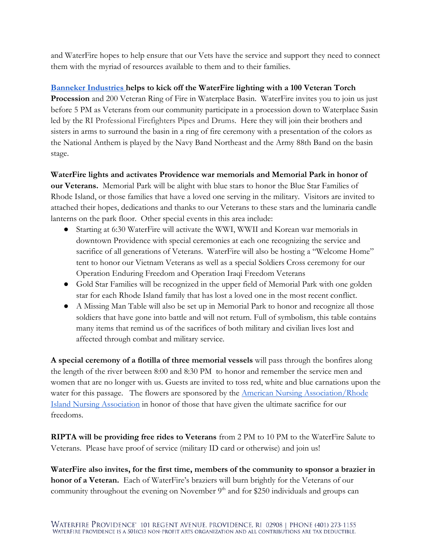and WaterFire hopes to help ensure that our Vets have the service and support they need to connect them with the myriad of resources available to them and to their families.

## **[Banneker Industries h](http://www.banneker.com/)elps to kick off the WaterFire lighting with a 100 Veteran Torch**

**Procession** and 200 Veteran Ring of Fire in Waterplace Basin. WaterFire invites you to join us just before 5 PM as Veterans from our community participate in a procession down to Waterplace Sasin led by the RI Professional Firefighters Pipes and Drums. Here they will join their brothers and sisters in arms to surround the basin in a ring of fire ceremony with a presentation of the colors as the National Anthem is played by the Navy Band Northeast and the Army 88th Band on the basin stage.

**WaterFire lights and activates Providence war memorials and Memorial Park in honor of our Veterans.** Memorial Park will be alight with blue stars to honor the Blue Star Families of Rhode Island, or those families that have a loved one serving in the military. Visitors are invited to attached their hopes, dedications and thanks to our Veterans to these stars and the luminaria candle lanterns on the park floor. Other special events in this area include:

- Starting at 6:30 WaterFire will activate the WWI, WWII and Korean war memorials in downtown Providence with special ceremonies at each one recognizing the service and sacrifice of all generations of Veterans. WaterFire will also be hosting a "Welcome Home" tent to honor our Vietnam Veterans as well as a special Soldiers Cross ceremony for our Operation Enduring Freedom and Operation Iraqi Freedom Veterans
- Gold Star Families will be recognized in the upper field of Memorial Park with one golden star for each Rhode Island family that has lost a loved one in the most recent conflict.
- A Missing Man Table will also be set up in Memorial Park to honor and recognize all those soldiers that have gone into battle and will not return. Full of symbolism, this table contains many items that remind us of the sacrifices of both military and civilian lives lost and affected through combat and military service.

**A special ceremony of a flotilla of three memorial vessels** will pass through the bonfires along the length of the river between 8:00 and 8:30 PM to honor and remember the service men and women that are no longer with us. Guests are invited to toss red, white and blue carnations upon the water for this passage. The flowers are sponsored by the American Nursing Association/Rhode [Island Nursing Association](http://www.risna.org/membership.html) in honor of those that have given the ultimate sacrifice for our freedoms.

**RIPTA will be providing free rides to Veterans** from 2 PM to 10 PM to the WaterFire Salute to Veterans. Please have proof of service (military ID card or otherwise) and join us!

**WaterFire also invites, for the first time, members of the community to sponsor a brazier in honor of a Veteran.** Each of WaterFire's braziers will burn brightly for the Veterans of our community throughout the evening on November  $9<sup>th</sup>$  and for \$250 individuals and groups can